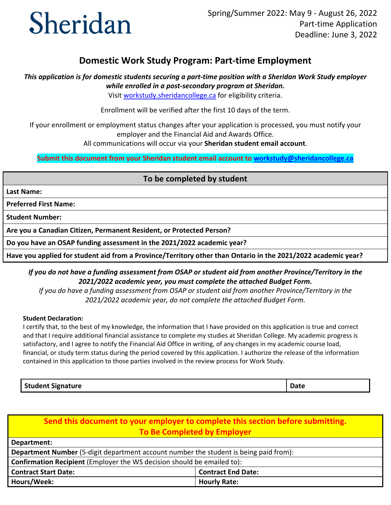# **Domestic Work Study Program: Part-time Employment**

 *This application is for domestic students securing a part-time position with a Sheridan Work Study employer while enrolled in a post-secondary program at Sheridan.* 

Visit workstudy.sheridancollege.ca for eligibility criteria.

Enrollment will be verified after the first 10 days of the term.

If your enrollment or employment status changes after your application is processed, you must notify your employer and the Financial Aid and Awards Office.

All communications will occur via your **Sheridan student email account**.

 **Submit this document from your Sheridan student email account to [workstudy@sheridancollege.ca](mailto:workstudy@sheridancollege.ca)** 

## **To be completed by student**

**Last Name:** 

**Preferred First Name:** 

**Student Number:** 

**Are you a Canadian Citizen, Permanent Resident, or Protected Person?** 

**Do you have an OSAP funding assessment in the 2021/2022 academic year?** 

**Have you applied for student aid from a Province/Territory other than Ontario in the 2021/2022 academic year?** 

 *2021/2022 academic year, you must complete the attached Budget Form. If you do not have a funding assessment from OSAP or student aid from another Province/Territory in the* 

 *If you do have a funding assessment from OSAP or student aid from another Province/Territory in the 2021/2022 academic year, do not complete the attached Budget Form.* 

### **Student Declaration:**

 I certify that, to the best of my knowledge, the information that I have provided on this application is true and correct and that I require additional financial assistance to complete my studies at Sheridan College. My academic progress is satisfactory, and I agree to notify the Financial Aid Office in writing, of any changes in my academic course load, financial, or study term status during the period covered by this application. I authorize the release of the information contained in this application to those parties involved in the review process for Work Study.

**Student Signature Date 2018 19:30 Student Signature Date 2018 19:30 Student Signature Date 2018 19:30 Student Signature Date 2018 19:30 Student Signature Date 20:30 Student Signature Date 20:30 Student Signature Date 20:3** 

**Send this document to your employer to complete this section before submitting. To Be Completed by Employer** 

| Department:                                                                                  |                           |
|----------------------------------------------------------------------------------------------|---------------------------|
| <b>Department Number</b> (5-digit department account number the student is being paid from): |                           |
| <b>Confirmation Recipient</b> (Employer the WS decision should be emailed to):               |                           |
| <b>Contract Start Date:</b>                                                                  | <b>Contract End Date:</b> |
| Hours/Week:                                                                                  | <b>Hourly Rate:</b>       |